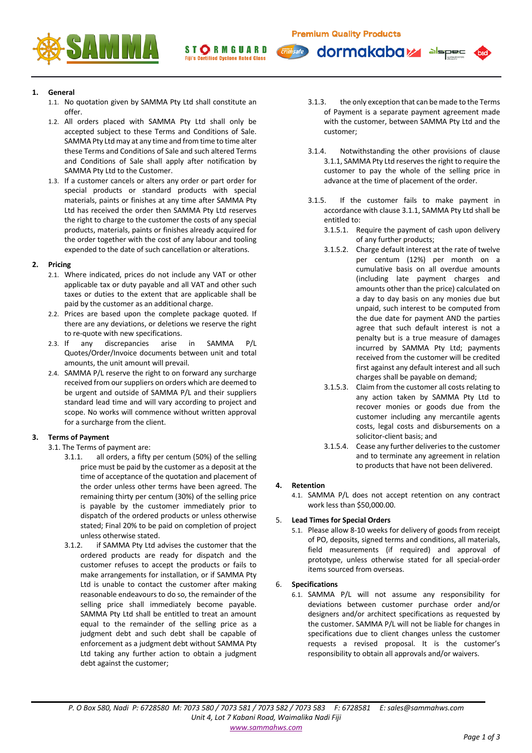dormakaba<sub>z</sub>



ST**ORMGUARD Fiji's Certified Cyclone Rated Glass** 

**1. General**

- 1.1. No quotation given by SAMMA Pty Ltd shall constitute an offer.
- 1.2. All orders placed with SAMMA Pty Ltd shall only be accepted subject to these Terms and Conditions of Sale. SAMMA Pty Ltd may at any time and from time to time alter these Terms and Conditions of Sale and such altered Terms and Conditions of Sale shall apply after notification by SAMMA Pty Ltd to the Customer.
- 1.3. If a customer cancels or alters any order or part order for special products or standard products with special materials, paints or finishes at any time after SAMMA Pty Ltd has received the order then SAMMA Pty Ltd reserves the right to charge to the customer the costs of any special products, materials, paints or finishes already acquired for the order together with the cost of any labour and tooling expended to the date of such cancellation or alterations.

## **2. Pricing**

- 2.1. Where indicated, prices do not include any VAT or other applicable tax or duty payable and all VAT and other such taxes or duties to the extent that are applicable shall be paid by the customer as an additional charge.
- 2.2. Prices are based upon the complete package quoted. If there are any deviations, or deletions we reserve the right to re-quote with new specifications.
- 2.3. If any discrepancies arise in SAMMA P/L Quotes/Order/Invoice documents between unit and total amounts, the unit amount will prevail.
- 2.4. SAMMA P/L reserve the right to on forward any surcharge received from our suppliers on orders which are deemed to be urgent and outside of SAMMA P/L and their suppliers standard lead time and will vary according to project and scope. No works will commence without written approval for a surcharge from the client.

# **3. Terms of Payment**

- 3.1. The Terms of payment are:
	- 3.1.1. all orders, a fifty per centum (50%) of the selling price must be paid by the customer as a deposit at the time of acceptance of the quotation and placement of the order unless other terms have been agreed. The remaining thirty per centum (30%) of the selling price is payable by the customer immediately prior to dispatch of the ordered products or unless otherwise stated; Final 20% to be paid on completion of project unless otherwise stated.
	- 3.1.2. if SAMMA Pty Ltd advises the customer that the ordered products are ready for dispatch and the customer refuses to accept the products or fails to make arrangements for installation, or if SAMMA Pty Ltd is unable to contact the customer after making reasonable endeavours to do so, the remainder of the selling price shall immediately become payable. SAMMA Pty Ltd shall be entitled to treat an amount equal to the remainder of the selling price as a judgment debt and such debt shall be capable of enforcement as a judgment debt without SAMMA Pty Ltd taking any further action to obtain a judgment debt against the customer;

3.1.3. the only exception that can be made to the Terms of Payment is a separate payment agreement made with the customer, between SAMMA Pty Ltd and the customer;

alspec

- 3.1.4. Notwithstanding the other provisions of clause 3.1.1, SAMMA Pty Ltd reserves the right to require the customer to pay the whole of the selling price in advance at the time of placement of the order.
- 3.1.5. If the customer fails to make payment in accordance with clause 3.1.1, SAMMA Pty Ltd shall be entitled to:
	- 3.1.5.1. Require the payment of cash upon delivery of any further products;
	- 3.1.5.2. Charge default interest at the rate of twelve per centum (12%) per month on a cumulative basis on all overdue amounts (including late payment charges and amounts other than the price) calculated on a day to day basis on any monies due but unpaid, such interest to be computed from the due date for payment AND the parties agree that such default interest is not a penalty but is a true measure of damages incurred by SAMMA Pty Ltd; payments received from the customer will be credited first against any default interest and all such charges shall be payable on demand;
	- 3.1.5.3. Claim from the customer all costs relating to any action taken by SAMMA Pty Ltd to recover monies or goods due from the customer including any mercantile agents costs, legal costs and disbursements on a solicitor-client basis; and
	- 3.1.5.4. Cease any further deliveries to the customer and to terminate any agreement in relation to products that have not been delivered.

# **4. Retention**

4.1. SAMMA P/L does not accept retention on any contract work less than \$50,000.00.

# 5. **Lead Times for Special Orders**

5.1. Please allow 8-10 weeks for delivery of goods from receipt of PO, deposits, signed terms and conditions, all materials, field measurements (if required) and approval of prototype, unless otherwise stated for all special-order items sourced from overseas.

# 6. **Specifications**

6.1. SAMMA P/L will not assume any responsibility for deviations between customer purchase order and/or designers and/or architect specifications as requested by the customer. SAMMA P/L will not be liable for changes in specifications due to client changes unless the customer requests a revised proposal. It is the customer's responsibility to obtain all approvals and/or waivers.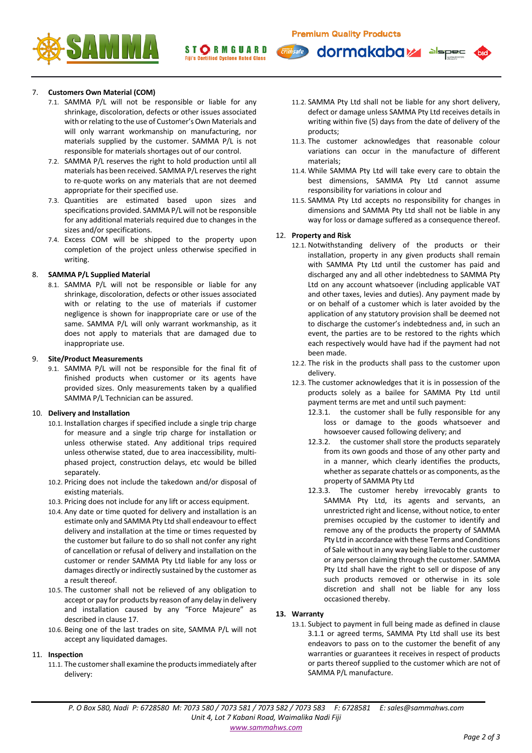dormakaba<sub>k</sub>





# 7. **Customers Own Material (COM)**

- 7.1. SAMMA P/L will not be responsible or liable for any shrinkage, discoloration, defects or other issues associated with or relating to the use of Customer's Own Materials and will only warrant workmanship on manufacturing, nor materials supplied by the customer. SAMMA P/L is not responsible for materials shortages out of our control.
- 7.2. SAMMA P/L reserves the right to hold production until all materials has been received. SAMMA P/L reserves the right to re-quote works on any materials that are not deemed appropriate for their specified use.
- 7.3. Quantities are estimated based upon sizes and specifications provided. SAMMA P/L will not be responsible for any additional materials required due to changes in the sizes and/or specifications.
- 7.4. Excess COM will be shipped to the property upon completion of the project unless otherwise specified in writing.

## 8. **SAMMA P/L Supplied Material**

8.1. SAMMA P/L will not be responsible or liable for any shrinkage, discoloration, defects or other issues associated with or relating to the use of materials if customer negligence is shown for inappropriate care or use of the same. SAMMA P/L will only warrant workmanship, as it does not apply to materials that are damaged due to inappropriate use.

## 9. **Site/Product Measurements**

9.1. SAMMA P/L will not be responsible for the final fit of finished products when customer or its agents have provided sizes. Only measurements taken by a qualified SAMMA P/L Technician can be assured.

# 10. **Delivery and Installation**

- 10.1. Installation charges if specified include a single trip charge for measure and a single trip charge for installation or unless otherwise stated. Any additional trips required unless otherwise stated, due to area inaccessibility, multiphased project, construction delays, etc would be billed separately.
- 10.2. Pricing does not include the takedown and/or disposal of existing materials.
- 10.3. Pricing does not include for any lift or access equipment.
- 10.4. Any date or time quoted for delivery and installation is an estimate only and SAMMA Pty Ltd shall endeavour to effect delivery and installation at the time or times requested by the customer but failure to do so shall not confer any right of cancellation or refusal of delivery and installation on the customer or render SAMMA Pty Ltd liable for any loss or damages directly or indirectly sustained by the customer as a result thereof.
- 10.5. The customer shall not be relieved of any obligation to accept or pay for products by reason of any delay in delivery and installation caused by any "Force Majeure" as described in clause 17.
- 10.6. Being one of the last trades on site, SAMMA P/L will not accept any liquidated damages.

#### 11. **Inspection**

11.1. The customer shall examine the products immediately after delivery:

11.2. SAMMA Pty Ltd shall not be liable for any short delivery, defect or damage unless SAMMA Pty Ltd receives details in writing within five (5) days from the date of delivery of the products;

alspec

- 11.3. The customer acknowledges that reasonable colour variations can occur in the manufacture of different materials;
- 11.4. While SAMMA Pty Ltd will take every care to obtain the best dimensions, SAMMA Pty Ltd cannot assume responsibility for variations in colour and
- 11.5. SAMMA Pty Ltd accepts no responsibility for changes in dimensions and SAMMA Pty Ltd shall not be liable in any way for loss or damage suffered as a consequence thereof.

### 12. **Property and Risk**

**Tim**safe

- 12.1. Notwithstanding delivery of the products or their installation, property in any given products shall remain with SAMMA Pty Ltd until the customer has paid and discharged any and all other indebtedness to SAMMA Pty Ltd on any account whatsoever (including applicable VAT and other taxes, levies and duties). Any payment made by or on behalf of a customer which is later avoided by the application of any statutory provision shall be deemed not to discharge the customer's indebtedness and, in such an event, the parties are to be restored to the rights which each respectively would have had if the payment had not been made.
- 12.2. The risk in the products shall pass to the customer upon delivery.
- 12.3. The customer acknowledges that it is in possession of the products solely as a bailee for SAMMA Pty Ltd until payment terms are met and until such payment:
	- 12.3.1. the customer shall be fully responsible for any loss or damage to the goods whatsoever and howsoever caused following delivery; and
	- 12.3.2. the customer shall store the products separately from its own goods and those of any other party and in a manner, which clearly identifies the products, whether as separate chattels or as components, as the property of SAMMA Pty Ltd
	- 12.3.3. The customer hereby irrevocably grants to SAMMA Pty Ltd, its agents and servants, an unrestricted right and license, without notice, to enter premises occupied by the customer to identify and remove any of the products the property of SAMMA Pty Ltd in accordance with these Terms and Conditions of Sale without in any way being liable to the customer or any person claiming through the customer. SAMMA Pty Ltd shall have the right to sell or dispose of any such products removed or otherwise in its sole discretion and shall not be liable for any loss occasioned thereby.

# **13. Warranty**

13.1. Subject to payment in full being made as defined in clause 3.1.1 or agreed terms, SAMMA Pty Ltd shall use its best endeavors to pass on to the customer the benefit of any warranties or guarantees it receives in respect of products or parts thereof supplied to the customer which are not of SAMMA P/L manufacture.